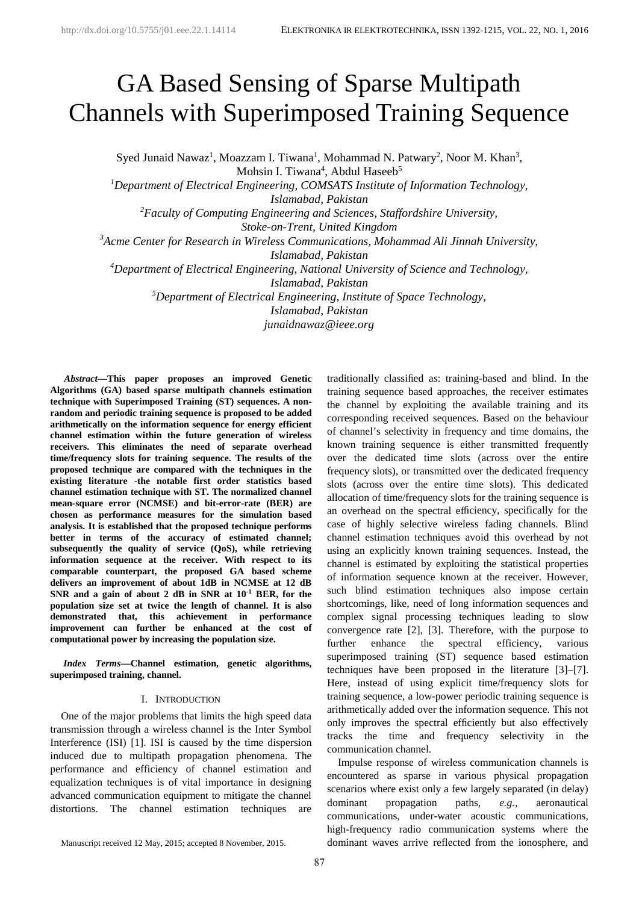# GA Based Sensing of Sparse Multipath Channels with Superimposed Training Sequence

Syed Junaid Nawaz<sup>1</sup>, Moazzam I. Tiwana<sup>1</sup>, Mohammad N. Patwary<sup>2</sup>, Noor M. Khan<sup>3</sup>, Mohsin I. Tiwana<sup>4</sup>, Abdul Haseeb<sup>5</sup>

*<sup>1</sup>Department of Electrical Engineering, COMSATS Institute of Information Technology, Islamabad, Pakistan*

*<sup>2</sup>Faculty of Computing Engineering and Sciences, Staffordshire University,*

*Stoke-on-Trent, United Kingdom*

*<sup>3</sup>Acme Center for Research in Wireless Communications, Mohammad Ali Jinnah University,*

*Islamabad, Pakistan*

*<sup>4</sup>Department of Electrical Engineering, National University of Science and Technology,*

*Islamabad, Pakistan*

*<sup>5</sup>Department of Electrical Engineering, Institute of Space Technology,*

*Islamabad, Pakistan*

*junaidnawaz@ieee.org*

*<sup>1</sup>Abstract***—This paper proposes an improved Genetic Algorithms (GA) based sparse multipath channels estimation technique with Superimposed Training (ST) sequences. A non random and periodic training sequence is proposed to be added arithmetically on the information sequence for energy efficient channel estimation within the future generation of wireless receivers. This eliminates the need of separate overhead time/frequency slots for training sequence. The results of the proposed technique are compared with the techniques in the existing literature -the notable first order statistics based channel estimation technique with ST. The normalized channel mean-square error (NCMSE) and bit-error-rate (BER) are chosen as performance measures for the simulation based analysis. It is established that the proposed technique performs better in terms of the accuracy of estimated channel; subsequently the quality of service (QoS), while retrieving information sequence at the receiver. With respect to its comparable counterpart, the proposed GA based scheme delivers an improvement of about 1dB in NCMSE at 12 dB SNR and a gain of about 2 dB in SNR at 10-1 BER, for the population size set at twice the length of channel. It is also demonstrated that, this achievement in performance improvement can further be enhanced at the cost of computational power by increasing the population size.**

*Index Terms***—Channel estimation, genetic algorithms, superimposed training, channel.**

#### I. INTRODUCTION

One of the major problems that limits the high speed data transmission through a wireless channel is the Inter Symbol Interference (ISI) [1]. ISI is caused by the time dispersion induced due to multipath propagation phenomena. The performance and efficiency of channel estimation and equalization techniques is of vital importance in designing advanced communication equipment to mitigate the channel<br>dominant distortions. The channel estimation techniques are

traditionally classified as: training-based and blind. In the training sequence based approaches, the receiver estimates the channel by exploiting the available training and its corresponding received sequences. Based on the behaviour of channel's selectivity in frequency and time domains, the known training sequence is either transmitted frequently over the dedicated time slots (across over the entire frequency slots), or transmitted over the dedicated frequency slots (across over the entire time slots). This dedicated allocation of time/frequency slots for the training sequence is an overhead on the spectral efficiency, specifically for the case of highly selective wireless fading channels. Blind channel estimation techniques avoid this overhead by not using an explicitly known training sequences. Instead, the channel is estimated by exploiting the statistical properties of information sequence known at the receiver. However, such blind estimation techniques also impose certain shortcomings, like, need of long information sequences and complex signal processing techniques leading to slow convergence rate [2], [3]. Therefore, with the purpose to further enhance the spectral efficiency, various superimposed training (ST) sequence based estimation techniques have been proposed in the literature [3]–[7]. Here, instead of using explicit time/frequency slots for training sequence, a low-power periodic training sequence is arithmetically added over the information sequence. This not only improves the spectral efficiently but also effectively tracks the time and frequency selectivity in the communication channel.

Impulse response of wireless communication channels is encountered as sparse in various physical propagation scenarios where exist only a few largely separated (in delay) propagation paths, *e.g.*, aeronautical communications, under-water acoustic communications, high-frequency radio communication systems where the dominant waves arrive reflected from the ionosphere, and

Manuscript received 12 May, 2015; accepted 8 November, 2015.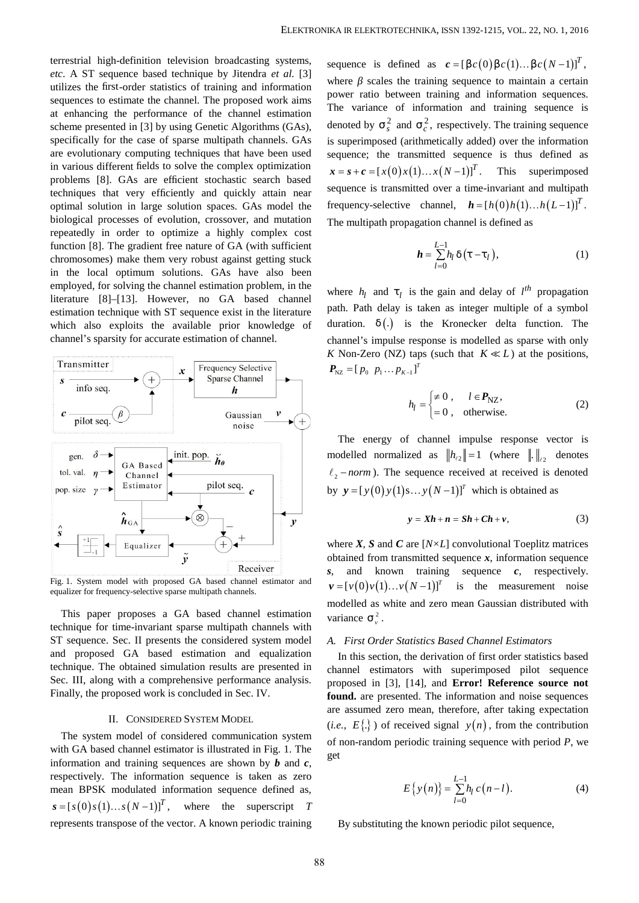terrestrial high-definition television broadcasting systems, sequence is defined as  $\mathbf{c} = [s \cdot c(0) s c(1) \dots s c(N-1)]^T$ , *etc*. A ST sequence based technique by Jitendra *et al.* [3] utilizes the first-order statistics of training and information sequences to estimate the channel. The proposed work aims at enhancing the performance of the channel estimation scheme presented in [3] by using Genetic Algorithms (GAs), specifically for the case of sparse multipath channels. GAs are evolutionary computing techniques that have been used in various different fields to solve the complex optimization  $x = s + c = [x(0)x(1)...x(N-1)]^T$ . This superimposed problems [8]. GAs are efficient stochastic search based techniques that very efficiently and quickly attain near<br>optimal solution in large solution spaces. GAs model the frequency-selective channel,  $h = [h(0)h(1)...h(L-1)]^T$ . optimal solution in large solution spaces. GAs model the biological processes of evolution, crossover, and mutation repeatedly in order to optimize a highly complex cost function [8]. The gradient free nature of GA (with sufficient chromosomes) make them very robust against getting stuck in the local optimum solutions. GAs have also been employed, for solving the channel estimation problem, in the literature [8]–[13]. However, no GA based channel estimation technique with ST sequence exist in the literature  $\frac{\text{path}}{\text{path}}$ . Path delay is taken as integer multiple of a symbol which also exploits the available prior knowledge of duration.  $\mathfrak{u}(\cdot)$  is the Kronecke which also exploits the available prior knowledge of channel's sparsity for accurate estimation of channel.



Fig. 1. System model with proposed GA based channel estimator and  $v = [v(0)v(1)...v(N-1)]^T$ equalizer for frequency-selective sparse multipath channels.

This paper proposes a GA based channel estimation technique for time-invariant sparse multipath channels with ST sequence. Sec. II presents the considered system model and proposed GA based estimation and equalization technique. The obtained simulation results are presented in Sec. III, along with a comprehensive performance analysis. Finally, the proposed work is concluded in Sec. IV.

### II. CONSIDERED SYSTEM MODEL

The system model of considered communication system with GA based channel estimator is illustrated in Fig. 1. The information and training sequences are shown by *b* and *c*, respectively. The information sequence is taken as zero mean BPSK modulated information sequence defined as, **s**<br> **o**<br> **Equilibrically**<br> **Equidibrius**<br> **Fig.1. System model with proposed GA based channel estimator and<br>
<b>Receiver**<br> **Fig.1. System model with proposed GA based channel estimator and<br>
<b>Fig.1. System controlling seque** represents transpose of the vector. A known periodic training

IKA IR ELEKTROTECHNIKA, ISSN 1392-1215, VOL. 22, NO. 1, 2016<br>sequence is defined as  $\mathbf{c} = [S\,c(0)S\,c(1)...S\,c(N-1)]^T$ ,<br>where scales the training sequence to maintain a certain<br>power ratio between training and information *c* =  $[sc(0)sc(1)...sc(N-1)]^T$ ,<br> *c* =  $[sc(0)sc(1)...sc(N-1)]^T$ ,<br> *g* sequence to maintain a certain<br>
ing and information sequences.<br>
tion and training sequence is<br>
spectively. The training sequence<br>
cally added) over the informati scales the training sequence to maintain a certain power ratio between training and information sequences. The variance of information and training sequence is denoted by  $\tau_s^2$  and  $\tau_c^2$ , respectively. The training sequence is superimposed (arithmetically added) over the information sequence; the transmitted sequence is thus defined as KA IR ELEKTROTECHNIKA, ISSN 1392-1215, VOL. 22, NO. 1, 2016<br>
equence is defined as  $c = [Sc(0)Sc(1)...Sc(N-1)]^T$ ,<br>
where scales the training sequence to maintain a certain<br>
nower ratio between training and information sequences sequence is transmitted over a time-invariant and multipath IKA IR ELEKTROTECHNIKA, ISSN 1392-1215, VOL. 22, NO. 1, 2016<br>sequence is defined as  $c = [Sc(0)Sc(1)...Sc(N-1)]^T$ ,<br>where scales the training sequence to maintain a certain<br>power ratio between training and information sequences. The multipath propagation channel is defined as 1392-1215, VOL. 22, NO. 1, 2016<br>
[Sc(0)Sc(1)...Sc( $N-1$ )]<sup>T</sup>,<br>
quence to maintain a certain<br>
and information sequences.<br>
and training sequence is<br>
tively. The training sequence<br>
added) over the information<br>
quence is thus *x*, *LSSN* 1392-1215, VOL. 22, NO. 1, 2016<br> *c* = [Sc(0)Sc(1)...Sc(N-1)]<sup>T</sup>,<br>
ing sequence to maintain a certair<br>
aining and information sequences<br>
mation and training sequence is<br>
respectively. The training sequence<br>
et = [Sc(0)Sc(1)...Sc(N -<br>sequence to maintain a c<br>ag and information seque<br>on and training sequer<br>pectively. The training sequence<br>pectively. The training sequence is thus defin<br> $(-1)$ ]<sup>T</sup>. This superim<br> $\cdot$  a time-invariant ISSN 1392-1215, VOL. 22, NO. 1, 2016<br>  $\boldsymbol{c} = [s \, c(0) s c(1) \dots s c(N-1)]^T$ ,<br> *ng* sequence to maintain a certain<br>
ining and information sequences.<br>
aation and training sequence is<br>
respectively. The training sequence<br>
ically NIKA, ISSN 1392-1215, VOL. 22, NO. 1, 2016<br> **d** as  $c = [Sc(0)Sc(1)...Sc(N-1)]^T$ ,<br>
raining sequence to maintain a certain<br>
in training and information sequences.<br>  $\tau_c^2$ , respectively. The training sequence is<br>
the the informati IKA IR ELEKTROTECHNIKA, ISSN 1392-1215, VOL. 22, NO. 1, 2016<br>
sequence is defined as  $c = [Sc(0)Sc(1)...Sc(N-1)]^T$ ,<br>
where scales the training sequence to maintain a certain<br>
power ratio between training and information sequenc power ratio between training and information sequences.<br>
The variance of information and training sequence is<br>
denoted by  $\uparrow_s^2$  and  $\uparrow_c^2$ , respectively. The training sequence<br>
is superimposed (arithmetically added) , respectively. The training sequence<br>netically added) over the information<br>itted sequence is thus defined as<br> $x(N-1)$ <sup>T</sup>. This superimposed<br>over a time-invariant and multipath<br>nannel,  $h = [h(0)h(1)...h(L-1)]^T$ .<br>ion channel is **Example 1**  $\int_{\tau}^{2} f(x) \exp(-t) \, dx$  is apprimposed (arithmetically aded) over the information sequence; the transmitted sequence is thus defined as  $x = s + c = [x(0), (1), \dots, (N-1)]^T$ . This superimposed sequence is transmitted over

$$
\mathbf{h} = \sum_{l=0}^{L-1} h_l \mathbf{u} (1 - \mathbf{t}_l), \tag{1}
$$

where  $h_l$  and  $\ddagger_l$  is the gain and delay of  $l^{th}$  propagation path. Path delay is taken as integer multiple of a symbol channel's impulse response is modelled as sparse with only d sequence is thus defined as<br>  $[N-1]$ <sup>T</sup>. This superimposed<br>
ver a time-invariant and multipath<br>
nel,  $h = [h(0)h(1)...h(L-1)]$ <sup>T</sup>.<br>
channel is defined as<br>  $\begin{bmatrix} 1 \\ -h \end{bmatrix}$  (1)<br>
(1)<br>
(1)<br>
(ain and delay of  $l^{th}$  propagation<br> is the gain and delay of  $l^{th}$  propagation<br> *y* staken as integer multiple of a symbol<br> *y* the Kronecker delta function. The<br>
response is modelled as sparse with only<br>
taps (such that  $K \ll L$ ) at the positions,<br>  $l_1 l^T$ The multiplain propagation channel is defined as<br>  $\mathbf{h} = \sum_{l=0}^{L-1} h_l u(l + t_l)$ , (1)<br>
where  $h_l$  and  $t_l$  is the gain and delay of  $l^{th}$  propagation<br>
path. Path delay is taken as integer multiple of a symbol<br>
duration.

$$
h_l = \begin{cases} \neq 0, & l \in P_{\text{NZ}}, \\ = 0, & \text{otherwise.} \end{cases}
$$
 (2)

The energy of channel impulse response vector is modelled normalized as  $||h_{\ell 2}|| = 1$  (where  $||.||_{\ell 2}$  denotes  $\ell_2$  – *norm*). The sequence received at received is denoted

$$
y = Xh + n = Sh + Ch + v, \tag{3}
$$

where *X*, *S* and *C* are  $[N \times L]$  convolutional Toeplitz matrices obtained from transmitted sequence  $x$ , information sequence *s*, and known training sequence *c*, respectively. modelled as white and zero mean Gaussian distributed with variance  $\uparrow_{\nu}^2$ .

# *A. First Order Statistics Based Channel Estimators*

In this section, the derivation of first order statistics based channel estimators with superimposed pilot sequence proposed in [3], [14], and **Error! Reference source not found.** are presented. The information and noise sequences are assumed zero mean, therefore, after taking expectation  $P_{\text{XZ}} = [p_0 \ p_1 \dots p_{K-1}]^T$ <br>  $h_I = \begin{cases} \neq 0, & I \in P_{\text{NZ}}, \\ = 0, & \text{otherwise.} \end{cases}$  (2)<br>
The energy of channel impulse response vector is<br>
modelled normalized as  $||h_{I2}|| = 1$  (where  $||h_{I2}||$  denotes<br>  $\ell_2$ -*norm*). The sequenc of non-random periodic training sequence with period *P*, we get  $h_l =\begin{cases} \neq 0, & l \in P_{NZ}, \\ \n= 0, & \text{otherwise.} \n\end{cases}$  (2)<br>
channel impulse response vector is<br>
cd as  $\begin{bmatrix} h_{l2} \end{bmatrix} = 1$  (where  $\begin{bmatrix} 1, & l_{l2} \end{bmatrix}$  denotes<br>
equence received at received is denoted<br>  $\cdots y(N-1)J^T$  which is convolutional Toeplitz matrices<br>quence  $x$ , information sequence<br>sequence  $c$ , respectively.<br>is the measurement noise<br>mean Gaussian distributed with<br>ed Channel Estimators<br>on of first order statistics based<br>superimposed pi are  $[N \times L]$  convolutional Toeplitz matrices<br>nsmitted sequence **x**, information sequence<br>training sequence **c**, respectively.<br> $(N-1)$ <sup>T</sup> is the measurement noise<br>e and zero mean Gaussian distributed with<br>tatistics *Based Ch*  $n = Sh + Ch + v$ , (3)<br>
1] convolutional Toeplitz matrices<br>
sequence  $x$ , information sequence<br>
g sequence  $c$ , respectively.<br>
is the measurement noise<br>
b mean Gaussian distributed with<br>
ased Channel Estimators<br>
ased Channel Esti

$$
E\{y(n)\} = \sum_{l=0}^{L-1} h_l c(n-l).
$$
 (4)

By substituting the known periodic pilot sequence,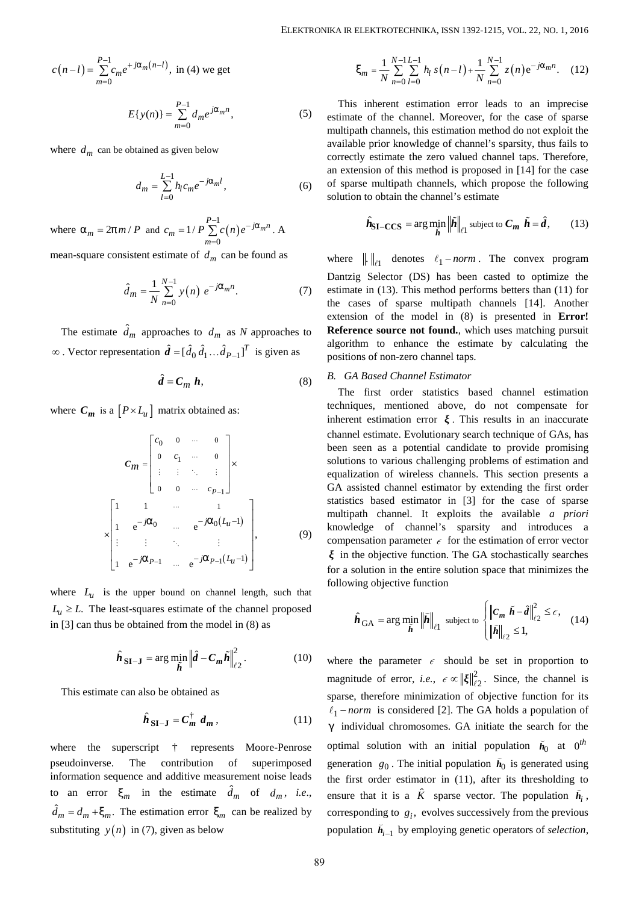$$
c(n-l) = \sum_{m=0}^{P-1} c_m e^{+j\Gamma_m(n-l)}, \text{ in (4) we get}
$$
  
\n
$$
E\{y(n)\} = \sum_{m=0}^{P-1} d_m e^{j\Gamma_m n},
$$
  
\n
$$
E\{y(n)\} = \sum_{m=0}^{P-1} d_m e^{j\Gamma_m n},
$$
  
\n
$$
E\{y(n)\} = \sum_{m=0}^{P-1} d_m e^{j\Gamma_m n},
$$
  
\n
$$
E\{y(n)\} = \sum_{m=0}^{P-1} d_m e^{j\Gamma_m n},
$$
  
\n
$$
E\{y(n)\} = \sum_{m=0}^{P-1} d_m e^{j\Gamma_m n},
$$
  
\n
$$
E\{y(n)\} = \sum_{m=0}^{P-1} d_m e^{j\Gamma_m n},
$$
  
\n
$$
E\{y(n)\} = \sum_{m=0}^{P-1} d_m e^{j\Gamma_m n},
$$
  
\n
$$
E\{y(n)\} = \sum_{m=0}^{P-1} d_m e^{j\Gamma_m n},
$$
  
\n
$$
E\{y(n)\} = \sum_{m=0}^{P-1} d_m e^{j\Gamma_m n},
$$
  
\n
$$
E\{y(n)\} = \sum_{m=0}^{P-1} d_m e^{j\Gamma_m n},
$$
  
\n
$$
E\{y(n)\} = \sum_{m=0}^{P-1} d_m e^{j\Gamma_m n},
$$
  
\n
$$
E\{y(n)\} = \sum_{m=0}^{P-1} d_m e^{j\Gamma_m n},
$$
  
\n
$$
E\{y(n)\} = \sum_{m=0}^{P-1} d_m e^{j\Gamma_m n},
$$
  
\n
$$
E\{y(n)\} = \sum_{m=0}^{P-1} d_m e^{j\Gamma_m n},
$$
  
\n
$$
E\{y(n)\} = \sum_{m=0}^{P-1} d_m e^{j\Gamma_m n},
$$
  
\n
$$
E\{y(n)\} = \sum_{m=0}^{P-1} d_m e^{j\Gamma_m n},
$$
  
\n
$$
E\{y(n)\} = \sum_{m=0}^{P-1} d_m e^{j\Gamma_m n},
$$
  
\n<

$$
ELEKTRONIKA \text{ IR ELEKTROTECHNIK}
$$

$$
-l = \sum_{m=0}^{P-1} c_m e^{+j\Gamma_m(n-l)}, \text{ in (4) we get}
$$

$$
\epsilon_m = \frac{1}{N} \sum_{n=0}^{N-1} \sum_{l=0}^{L-1} h_l
$$

$$
E\{y(n)\} = \sum_{m=0}^{P-1} d_m e^{j\Gamma_m n},
$$
(5) This inherent estimate of the channel  
multipath channels, this

where  $d_m$  can be obtained as given below

$$
j\Gamma_m(n-l)
$$
, in (4) we get  
\n
$$
f(y(n)) = \sum_{m=0}^{P-1} d_m e^{j\Gamma_m n},
$$
\n(5)  
\n
$$
d_m = \sum_{l=0}^{L-1} h_l c_m e^{-j\Gamma_m l},
$$
\n(6)  
\n
$$
P \text{ and } c_m = 1/P \sum_{m=0}^{P-1} c(n) e^{-j\Gamma_m n}. \text{ A}
$$

0 *m*

mean-square consistent estimate of *d<sup>m</sup>* can be found as

$$
\hat{d}_m = \frac{1}{N} \sum_{n=0}^{N-1} y(n) e^{-j\Gamma_m n}.
$$
 (7)

*n*  $e^{+j\Gamma_m(n-l)}$ , in (4) we get<br>  $e^{+j\Gamma_m(n-l)}$ , in (4) we get<br>  $\langle m \rangle = \sum_{m=0}^{P-1} d_m e^{j\Gamma_m n}$ ,<br>  $E\{y(n)\} = \sum_{m=0}^{P-1} d_m e^{j\Gamma_m n}$ ,<br>  $y(n) = \sum_{l=0}^{P-1} h_l c_m e^{-j\Gamma_m l}$ ,<br>  $d_m = \sum_{l=0}^{P-1} h_l c_m e^{-j\Gamma_m l}$ ,<br>  $f(n) = \sum_{m=0}^{P-1} f_m c_m e^{-j\Gamma$ The estimate  $\hat{d}_m$  approaches to  $d_m$  as N approaches to where  $d_m$  can be obtained as given below<br>  $d_m = \sum_{l=0}^{L-1} h_l c_m e^{-j\tau_m l}$ , (6) of sparse is an extension<br>
where  $\Gamma_m = 2f m/P$  and  $c_m = 1/P \sum_{m=0}^{P-1} c(n) e^{-j\tau_m n}$ . A<br>
mean-square consistent estimate of  $d_m$  can be found as<br>

$$
\hat{\boldsymbol{d}} = \boldsymbol{C}_m \; \boldsymbol{h},\tag{8}
$$

where  $C_m$  is a  $[P \times L_u]$  matrix obtained as:

$$
N_{n=0}
$$
 the cases of spars  
\nThe estimate  $\hat{d}_m$  approaches to  $d_m$  as  $N$  approaches to **Reference not in** the cases of spars  
\nextension of the m  
\nalgorithm to **en in in in in in in in in in in in in in in in in in in in in in in in in in in in in in in in in in in in in in in in in in in in in in in in in in in in in in in in in in in in in in in in in in in in in in in in in in in in in in in in in in in in in in in in in in in in in in in in** 

where  $L_u$  is the upper bound on channel length, such that in [3] can thus be obtained from the model in (8) as

$$
\hat{\boldsymbol{h}}_{\text{SI}-\text{J}} = \arg\min_{\tilde{\boldsymbol{h}}} \left\| \hat{\boldsymbol{d}} - \boldsymbol{C}_{\boldsymbol{m}} \tilde{\boldsymbol{h}} \right\|_{\ell^2}^2. \tag{10} \text{ where the}
$$

This estimate can also be obtained as

$$
\hat{h}_{\text{SI}-\text{J}} = C_m^{\dagger} d_m , \qquad (11)
$$

where the superscript † represents Moore-Penrose pseudoinverse. The contribution of superimposed information sequence and additive measurement noise leads to an error  $\epsilon_m$  in the estimate  $\hat{d}_m$  of  $d_m$ , *i.e.*, *i* in the objective form and the phenomenon of the channel length, such that  $I_u \ge L$ . The least-squares estimate of the channel proposed  $\hat{h}_{\text{SI}-\text{J}} = \arg \min_{\hat{h}} \left\| \hat{d} - C_m \hat{h} \right\|_{\ell,2}^2$ .<br>  $\hat{h}_{\text{SI}-\text{J}} = \arg \min_{\$ 

ELEKTROTECHNIKA, ISSN 1392-1215, VOL. 22, NO. 1, 2016  
\n
$$
\langle m = \frac{1}{N} \sum_{n=0}^{N-1} \sum_{l=0}^{L-1} h_l s(n-l) + \frac{1}{N} \sum_{n=0}^{N-1} z(n) e^{-j\Gamma_m n}.
$$
 (12)  
\n
$$
i \text{ inherent estimation error leads to an imprecise}
$$
\n
$$
e^{j\Gamma_m n} \text{ for the case of sparse}
$$

ELEKTRONIKA IR ELEKTROTECHNIKA, ISSN 1392-1215, VOL.<br>  $(n-l) = \sum_{m=0}^{P-1} c_m e^{+j\tau_m(n-l)}$ , in (4) we get<br>  $\epsilon_m = \frac{1}{N} \sum_{n=0}^{N-1} \sum_{l=0}^{L-1} h_l s(n-l) + \frac{1}{N} \sum_{n=0}^{N-1} z(n) e^{-(N-1)s}$ <br>  $E\{y(n)\} = \sum_{m=0}^{P-1} d_m e^{j\tau_m n}$ ,<br>
(5) This ELEKTRONIKA IR ELEKTRO<br>  $f^{n}(n-l)$ , in (4) we get<br>  $\langle m \rangle = \frac{1}{N} \times m = \frac{1}{N}$ <br>  $\langle y(n) \rangle = \sum_{m=0}^{P-1} d_{m} e^{j m}$ ,<br>  $\langle y(n) \rangle = \sum_{m=0}^{P-1} d_{m} e^{j m}$ ,<br>
(5) This inherer<br>
estimate of the<br>
multipath chan<br>
available prior<br>
correct ELEKTRONIKA IR ELEKTROT<br> *j* n =  $\frac{1}{N} \sum_{n=1}^{N} m^2$ ,<br> *me*<sup>*jr<sub>m</sub>n</sup>*,<br>
(5) This inheren<br>
multipath chann<br>
available prior 1<br>
correctly estima<br>
an extension of</sup> ELEKTRONIKA IR ELEKTR<br> *m* =  $\frac{1}{N}$ <br> *E*{*y(n)} =*  $\sum_{m=0}^{P-1} d_m e^{j\tau_m n}$ *,<br>
<i>m* =  $\frac{1}{N}$ <br> *E*{*y(n)} =*  $\sum_{m=0}^{P-1} d_m e^{j\tau_m n}$ *,<br>
(5) This inher<br>
estimate of the multipath cha<br>
available prior correctly estimate of*  $=\sum_{m=0} d_m e^{j\Gamma_m n}$ , (5) estimate of the channel. Moreover, for the case of sparse<br>multipath above this estimation mathed do not symbolic the  $\sigma^{-j}$ <sup>r</sup><sub>m</sub><sup>*i*</sup>, (6) of sparse multipath channels, which propose the following ELEKTRONIKA IR ELEKTR<br>  $m(n-l)$ , in (4) we get<br>  $\langle m \rangle = \sum_{m=0}^{P-1} d_m e^{j\Gamma_m n}$ ,<br>  $y(n) = \sum_{m=0}^{P-1} d_m e^{j\Gamma_m n}$ ,<br>  $\langle 5 \rangle$  Estimate of the multipath channel available prior<br>  $m = \sum_{l=0}^{L-1} h_l c_m e^{-j\Gamma_m l}$ ,<br>  $m = \sum_{m=0}^{P-1} h_l^2 c$ ELEKTRONIKA IR ELEKT<br> *d<sub>m</sub>*(*n*-*l*), in (4) we get<br>  $\langle m \rangle = \sum_{m=0}^{P-1} d_m e^{j m_m n}$ ,<br>
(5) estimate of multipath ch<br>
rained as given below<br>  $d_m = \sum_{l=0}^{L-1} h_l c_m e^{-j m_l l}$ ,<br>
(6) of sparse m<br>
solution to o<br> *P* and  $c_m = 1/P \sum_{m$  $=\sum_{l=0} h_l c_m e^{-J \Gamma_m l}$ , (6) of sparse multipath channels, which propose t solution to obtain the channel's estimate **ELEKTRONIKA IR ELEKTROTECHNIKA, ESN 1392-1215, VOL. 22, NO. 1, 2016<br>**  $c(n-l) = \sum_{m=0}^{P-1} c_m e^{-jF_m(n-l)}$ **, in (4) we get<br>**  $c_m = \frac{1}{N} \sum_{n=0}^{N} \sum_{l=0}^{L-1} h_l s(n-l) + \frac{1}{N} \sum_{n=0}^{N-1} z(n) e^{-jF_m n}$ **. (12)<br> E\{y(n)\} = \sum\_{m=0}^{P-1} d\_m e^{jF** ELEKTRONIKA IR ELEKTROTE<br> *j*, in (4) we get<br>  $s_m = \frac{1}{N} \sum_{n=1}^{N-1}$ <br>  $\sum_{m=0}^{P-1} d_m e^{j\Gamma_m n}$ ,<br>
(5) This inherent<br>
estimate of the c<br>
multipath channel<br>
given below<br>
available prior kn<br>
correctly estimate<br>
an extension ELEKTRONIKA IR ELEKTROTECHNI<br>
<sup>2</sup>, in (4) we get<br>  $\epsilon_m = \frac{1}{N} \sum_{n=0}^{N-1} \sum_{l=0}^{L-1} I_{n(l)}$ <br>  $= \sum_{m=0}^{P-1} d_m e^{j\tau_m n}$ ,<br>
(5) This inherent estimate of the channel<br>
multipath channels, this<br>
is given below a correctly est *m*  $\left(\frac{P^{-1}}{m}\right)$ , in (4) we get<br>  $\left(\frac{P^{-1}}{m}\right)$  and  $\left(\frac{P^{-1}}{m}\right)$  are  $\left(\frac{P^{-1}}{m}\right)$  are  $\left(\frac{P^{-1}}{m}\right)$  are  $\left(\frac{P^{-1}}{m}\right)$  and  $\left(\frac{P^{-1}}{m}\right)$  and  $\left(\frac{P^{-1}}{m}\right)$  are  $\left(\frac{P^{-1}}{m}\right)$  are  $\left(\frac{P^{-1}}{m}\right)$  $\int_{m}^{-m}$ , (5) This i<br>
estimate<br>
multipath<br>
w<br>
w<br>
available<br>
correctly<br>
an extens<br>
m<sup>1</sup>, (6) of sparse<br>
solution t<br>
do the particular<br>
can be found as<br>
can be found as<br>  $\int_{m}^{1}$  Dantzig<br>
Dantzig<br>  $\int_{m}^{\pi}$  (7) estima  $\sum_{m=0}^{P-1} d_m e^{j\tau_m n}$ , (5) This inheren<br>
sigiven below estimate of the<br>
multipath chann<br>
sigiven below correctly estimate of the<br>
multipath chann<br>
an axtension of<br>  $\sum_{m=0}^{P-1} h_l c_m e^{-j\tau_m l}$ , (6) of sparse multipath<br>
s ISSN 1392-1215, VOL. 22, NO. 1, 2016<br>  $(n-l) + \frac{1}{N} \sum_{n=0}^{N-1} z(n) e^{-j\tau_m n}$ . (12)<br>
on error leads to an imprecise<br>
Moreover, for the case of sparse<br>
stimation method do not exploit the<br>
of channel's sparsity, thus fails to ECHNIKA, ISSN 1392-1215, VOL. 22, NO. 1, 2016<br>  $\sum_{0}^{1} L^{-1}$ <br>  $\sum_{0}^{1} \sum_{l=0}^{n} h_l s(n-l) + \frac{1}{N} \sum_{n=0}^{N-1} z(n) e^{-j\tau_m n}$ . (12)<br>
estimation error leads to an imprecise<br>
channel. Moreover, for the case of sparse<br>
Is, this e DIECHNIKA, ISSN 1392-1215, VOL. 22, NO. 1, 2016<br>  $\sum_{n=0}^{N-1} \sum_{l=0}^{L-1} h_l s(n-l) + \frac{1}{N} \sum_{n=0}^{N-1} z(n) e^{-j\Gamma_m n}$ . (12)<br>
Int estimation error leads to an imprecise<br>
e channel. Moreover, for the case of sparse<br>
rels, this e LEKTROTECHNIKA, ISSN 1392-1215, VOL. 22, NO. 1, 2016<br>  $_m = \frac{1}{N} \sum_{n=0}^{N-1} \sum_{l=0}^{L-1} h_l s(n-l) + \frac{1}{N} \sum_{n=0}^{N-1} z(n) e^{-j\Gamma_m n}$ . (12)<br>
inherent estimation error leads to an imprecise<br>  $\therefore$  of the channel. Moreover, for th DIECHNIKA, ISSN 1392-1215, VOL. 22, NO. 1, 2016<br>  $\sum_{n=0}^{N-1} \sum_{l=0}^{L-1} h_l s(n-l) + \frac{1}{N} \sum_{n=0}^{N-1} z(n) e^{-j\Gamma_m n}$ . (12)<br>
Int estimation error leads to an imprecise<br>
e channel. Moreover, for the case of sparse<br>
rels, this e TECHNIKA, ISSN 1392-1215, VOL. 22, NO. 1, 2016<br>  $\sum_{n=0}^{N-1} \sum_{l=0}^{L-1} h_l s(n-l) + \frac{1}{N} \sum_{n=0}^{N-1} z(n) e^{-j\Gamma_m n}$ . (12)<br>
at estimation error leads to an imprecise<br>
channel. Moreover, for the case of sparse<br>
rels, this estim This inherent estimation error leads to an imprecise multipath channels, this estimation method do not exploit the available prior knowledge of channel's sparsity, thus fails to correctly estimate the zero valued channel taps. Therefore, an extension of this method is proposed in [14] for the case EXTROTECHNIKA, ISSN 1392-1215, VOL. 22, NO. 1, 2016<br>  $= \frac{1}{N} \sum_{n=0}^{N-1} \sum_{l=0}^{L-1} h_l s(n-l) + \frac{1}{N} \sum_{n=0}^{N-1} z(n) e^{-j\mathbf{r}_{m}n}$ . (12)<br>
therent estimation error leads to an imprecise<br>
of the channel. Moreover, for the ca EKTROTECHNIKA, ISSN 1392-1215, VOL. 22, NO. 1, 2016<br>  $h = \frac{1}{N} \sum_{n=0}^{N-1} \sum_{l=0}^{L-1} h_l s(n-l) + \frac{1}{N} \sum_{n=0}^{N-1} z(n) e^{-j\mathbf{r}_{m}n}$ . (12)<br>
Inherent estimation error leads to an imprecise<br>
of the channel. Moreover, for the

$$
=1/P\sum_{m=0}^{P-1}c(n)e^{-j\Gamma_m n}.\mathbf{A}\qquad\qquad\hat{\boldsymbol{h}}_{\text{SI-CCS}}=\arg\min_{\tilde{\boldsymbol{h}}} \left\|\tilde{\boldsymbol{h}}\right\|_{\ell_1}\text{ subject to } \boldsymbol{C}_m\ \tilde{\boldsymbol{h}}=\hat{\boldsymbol{d}},\qquad(13)
$$

**ELEKTRONIKA IR ELEKTROTECHNIKA, ISSN 1392-1215, VOL. 22, NO. 1, 2016**<br>
(4) we get<br>  $\epsilon_m = \frac{1}{N} \sum_{n=0}^{N-1} \sum_{n=0}^{L-1} h_i s(n-l) + \frac{1}{N} \sum_{n=0}^{N-1} z(n) e^{-jF_m n}.$  (12)<br>  $\frac{1}{0} a_n e^{jF_m n}$ , This inherent estimation error leads  $=\frac{1}{N}\sum_{n=0}^{N-1} y(n) e^{-j\Gamma_m n}$ . (7) estimate in (13). This method performs betters than (11) for<br>the cases of sparse multipath channels [14]. Another *P*  $\frac{p-1}{m-0}$  *N*  $\frac{1}{n-0}$   $\frac{p-1}{n-0}$  *N*  $\frac{1}{n-0}$   $\frac{p-1}{n-0}$  *M*  $\frac{p-1}{n-0}$  (5) estimate of the channel. Moreover, for the case of  $\frac{1}{n-0}$  and extension of this method is proposed in [14] for  $\frac{p$ where  $\| \cdot \|_{\ell_1}$  denotes  $\ell_1$ *-norm*. The convex program Dantzig Selector (DS) has been casted to optimize the the cases of sparse multipath channels [14]. Another extension of the model in (8) is presented in **Error! Reference source not found.**, which uses matching pursuit algorithm to enhance the estimate by calculating the positions of non-zero channel taps.

# *B. GA Based Channel Estimator*

**ELEKTRONEXATE ELEKTRONEXATE ELEKTRONEXATE EXAMPLE EXAMPLE EXAMPLE EXAMPLE EXAMPLE EXAMPLE EXAMPLE EXAMPLE EXAMPLE EXAMPLE EXAMPLE EXAMPLE (n)**  $\epsilon = 1$  **is \frac{N}{m-2} \sum\_{k=0}^{n} \frac{1}{k} \frac{d\_k}{k} \frac{d\_k}{k} = (n-1) - \frac{1}{N} \sum\_{k=0}^{N** $c(n)e^{-jn_m n}$ . A<br> **PSI-CCS** - at  $\frac{m}{n}$  -  $\frac{1}{n}$  - surface  $w = \frac{n}{n}$  and  $w = a$ . (13)<br>
Can be found as<br>
where  $\left\| \cdot \right\|_1$  denotes  $\ell_1 - norm$ . The convex program<br>
Can be found as<br>
where  $\left\| \cdot \right\|_1$  denotes  $\ell_1 - norm$ . and a contribution in the matrix contract  $\hat{P}_{[n-1]}$  and the case of space and the particular control of the case of space in the season of the model in (8) is presented to optimize the extension of the model in (8) is  $r_0$  ...  $e^{-j\Gamma_0(L_u-1)}$  and  $\Gamma$  individual channel. It explores the available a prioric <sup>*N*</sup>  $n=0$  the cases of sparse multipath channel<br>
approaches to  $d_m$  as *N* approaches to **Reference ource not found**, which use<br>
algorithm to enhance the estimate b<br>
algorithm to enhance the estimate b<br>
algorithm to enh and  $\hat{d} = [\hat{d}_0 \hat{d}_1 ... \hat{d}_{P-1}]^T$  is given as<br>  $[\hat{d} = C_m \hat{h},$  (8) B. GA Based Channel Estimator<br>  $[L_u]$  matrix obtained as:<br>  $[\hat{d} = C_m \hat{h},$  (8) B. GA Based Channel Estimator<br>  $[L_u]$  matrix obtained as:<br>  $[\hat{d} = C_m \hat{h},$  solutions to various challenging problems of estimation and  $\begin{bmatrix} 0 & 0 & \cdots & c_{p-1} \end{bmatrix}$  GA assisted channel estimator by extending the first order  $\begin{bmatrix} \cdot & \cdot & \cdot \\ \cdot & \cdot & \cdot \\ \cdot & \cdot & \cdot \end{bmatrix}$  multipath channel. It exploits the available *a priori*  $\therefore$   $\vdots$  equalization of wireless channels. This section presents a  $\begin{bmatrix} 9 \end{bmatrix}$ , (9) and mediate of extending parameter  $\epsilon$  for the estimation of error vector  $\hat{d} = C_m \ \hat{h},$ (8) B. GA Based Channel Estimative of the model in<br>  $\hat{d} = [\hat{d}_0 \hat{d}_1 ... \hat{d}_{p-1}]^T$  is given as<br>  $\hat{d} = C_m \ \hat{h},$ (8) B. GA Based Channel Estimates the positions of non-zero channel<br>  $\hat{d} = C_m \ \hat{h},$ (8)  $a = C_m h$ , (8)<br>
The first order statistics based channel<br>  $C_m$   $\begin{bmatrix} F \times L_u \end{bmatrix}$  matrix obtained as:<br>  $\begin{bmatrix} F \times L_u \end{bmatrix}$  matrix obtained as:<br>  $\begin{bmatrix} F_0 & 0 & \cdots & 0 \\ 0 & c_1 & \cdots & 0 \\ 0 & 0 & \cdots & c_{P-1} \end{bmatrix}$ , thus is an a poten The first order statistics based channel estimation techniques, mentioned above, do not compensate for inherent estimation error . This results in an inaccurate channel estimate. Evolutionary search technique of GAs, has been seen as a potential candidate to provide promising statistics based estimator in [3] for the case of sparse hannel estimation<br> *t* compensate for<br> *s* in an inaccurate<br>
hnique of GAs, has<br>
provide promising<br> *s* of estimation and<br>
section presents a<br>
ling the first order<br>
ne case of sparse<br>
vailable *a priori*<br>
md introduces a

 $\int_{r_{p-1}}^r$   $\int_{r-1}^r (L_u - 1)$  in the objective function. The GA stochastically searches  $\begin{bmatrix} 1 & 1 & 1 \\ 1 & 1 & 1 \end{bmatrix}$  for a solution in the entire solution space that minimizes the following objective function

the estimate of the channel proposed

\nand from the model in (8) as

\n
$$
\hat{\boldsymbol{h}}_{\text{GA}} = \arg \min_{\boldsymbol{\bar{h}}} \left\| \boldsymbol{\bar{h}} \right\|_{\ell_1} \text{ subject to } \begin{cases} \n\left\| \boldsymbol{C}_m \ \boldsymbol{\bar{h}} - \boldsymbol{\hat{d}} \right\|_{\ell_2}^2 \leq \epsilon, \\
\left\| \boldsymbol{\bar{h}} \right\|_{\ell_2} \leq 1, \\
\left\| \boldsymbol{\bar{h}} \right\|_{\ell_2} \leq 1, \\
\left\| \boldsymbol{\bar{h}} \right\|_{\ell_2} \leq 1, \\
\text{and } \boldsymbol{\bar{h}} \leq 1.\n\end{cases}
$$
\n(14)

\nwhere the parameter  $\epsilon$  should be set in proportion to

 $\frac{1}{2} \begin{bmatrix} 1 & \frac{1}{2} & \frac{1}{2} & \frac{1}{2} \\ \frac{1}{2} & \frac{1}{2} & \frac{1}{2} \\ \frac{1}{2} & \frac{1}{2} & \frac{1}{2} \\ \frac{1}{2} & \frac{1}{2} & \frac{1}{2} \\ \frac{1}{2} & \frac{1}{2} & \frac{1}{2} \\ \frac{1}{2} & \frac{1}{2} & \frac{1}{2} \\ \frac{1}{2} & \frac{1}{2} & \frac{1}{2} \\ \frac{1}{2} & \frac{1}{2} & \frac{1}{2} \\ \frac{1}{2} & \frac{1$ magnitude of error, *i.e.*,  $\epsilon \propto ||\|_{\ell_2}^2$ . Since, the channel is sparse, therefore minimization of objective function for its  $\ell_1$  – *norm* is considered [2]. The GA holds a population of individual chromosomes. GA initiate the search for the optimal solution with an initial population  $\tilde{h}_0$  at  $0^{th}$ *th* generation  $g_0$ . The initial population  $\check{h}_0$  is generated using the first order estimator in (11), after its thresholding to ensure that it is a  $\hat{K}$  sparse vector. The population  $\check{h}_i$ , corresponding to  $g_i$ , evolves successively from the previous population  $\vec{h}_{i-1}$  by employing genetic operators of *selection*,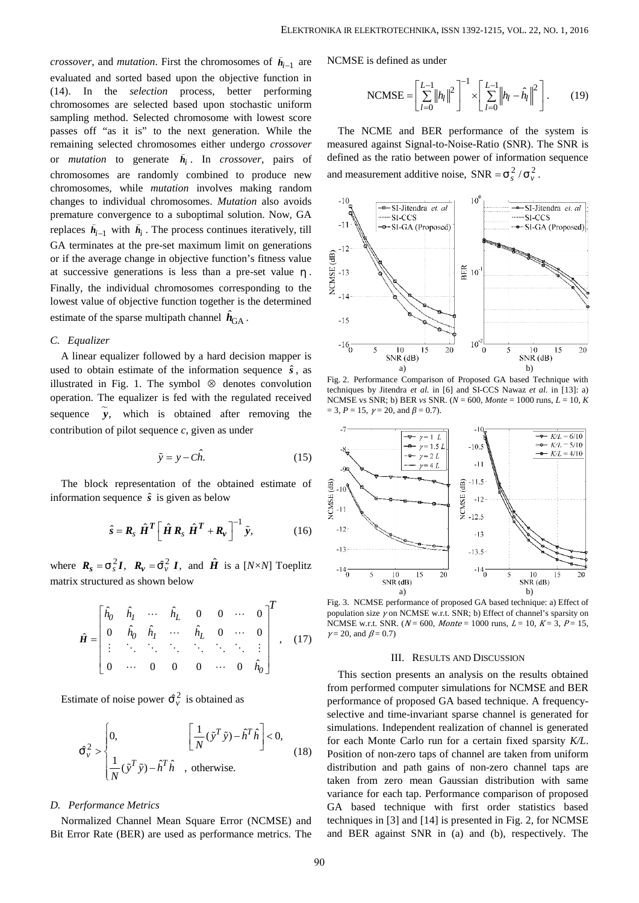*crossover*, and *mutation*. First the chromosomes of  $\bar{h}_{i-1}$  are evaluated and sorted based upon the objective function in (14). In the *selection* process, better performing chromosomes are selected based upon stochastic uniform sampling method. Selected chromosome with lowest score passes off "as it is" to the next generation. While the remaining selected chromosomes either undergo *crossover* or *mutation* to generate  $\vec{h}_i$ . In *crossover*, pairs of defined as the ratio between power of informatio chromosomes are randomly combined to produce new and measurement additive noise, SNR =  $\frac{1}{s}$ / $\frac{2}{v}$ . chromosomes are randomly combined to produce new chromosomes, while *mutation* involves making random changes to individual chromosomes. *Mutation* also avoids premature convergence to a suboptimal solution. Now, GA replaces  $\tilde{h}_{i-1}$  with  $\tilde{h}_i$ . The process continues iteratively, till GA terminates at the pre-set maximum limit on generations<br>or if the average change in objective function's fitness value at successive generations is less than a pre-set value  $y = \frac{12}{5}$ <br>Finally, the individual chromoso or if the average change in objective function's fitness value at successive generations is less than a pre-set value  $y = \frac{13}{24}$  -13 Finally, the individual chromosomes corresponding to the  $\frac{Q}{Z}$ lowest value of objective function together is the determined estimate of the sparse multipath channel  $\hat{h}_{\text{GA}}$ .

## *C. Equalizer*

Equalizer<br>A linear equalizer followed by a hard decision mapper is used to obtain estimate of the information sequence  $\hat{s}$ , as  $\qquad \qquad ^{a)}$ illustrated in Fig. 1. The symbol  $\otimes$  denotes convolution operation. The equalizer is fed with the regulated received sequence **y**, which is obtained after removing the contribution of pilot sequence *c*, given as under generations is less than a pre-set value y.  $\frac{12}{52}$  -13<br>
Individual chromosomes corresponding to the  $\frac{12}{52}$  -13<br>
ondividual chromosomes corresponding to the  $\frac{1}{2}$ <br>
sparse multipath channel  $\hat{h}_{GA}$ . -15<br>
ual and the set of the space value of observed the set of the space multipath channel  $\hat{h}_{GA}$ .<br> *R salizer*<br>
cear equalizer followed by a hard decision mapper<br>
obtain estimate of the information sequence  $\hat{s}$ ,<br>
red in F Solution that the set of the information of the trip of the information<br>
or followed by a hard decision mapper is<br>  $\hat{\mathbf{r}}$  and  $\hat{\mathbf{r}}$  of the information sequence  $\hat{\mathbf{s}}$ , as<br>
1. The symbol  $\otimes$  denotes convoluti ear equalizer followed by a hard decision map<br>
obtain estimate of the information sequence<br>
ed in Fig. 1. The symbol  $\otimes$  denotes convo<br>
on. The equalizer is fed with the regulated rec<br>  $\tilde{y}$ , which is obtained after qualizer followed by a hard decision mapper is<br>
in estimate of the information sequence  $\hat{s}$ , as<br> *h* Fig. 1. The symbol  $\otimes$  denotes convolution<br>
be equalizer is fed with the regulated received NCP.<br> *j*, which is obt

$$
\tilde{y} = y - C\hat{h}.\tag{15}
$$

The block representation of the obtained estimate of  $\frac{2}{3}$ -10<sup>6</sup><br>formation sequence  $\hat{s}$  is given as below  $\frac{32}{5}$ -11<sup>6</sup> information sequence  $\hat{s}$  is given as below

$$
\hat{\mathbf{s}} = \mathbf{R}_{\mathbf{s}} \; \hat{\mathbf{H}}^T \left[ \hat{\mathbf{H}} \, \mathbf{R}_{\mathbf{s}} \; \hat{\mathbf{H}}^T + \mathbf{R}_{\mathbf{v}} \right]^{-1} \tilde{\mathbf{y}}, \tag{16}
$$

where  $\mathbf{R}_s = \begin{bmatrix} 2 \\ s \end{bmatrix}$ ,  $\mathbf{R}_v = \begin{bmatrix} 2 \\ v \end{bmatrix}$ , and  $\hat{\mathbf{H}}$  is a [N × N] Toeplitz <sub>-14</sub> matrix structured as shown below

, 0 0 0 ˆ 0 0 *0 1 L 0 1 L h h h H* (17) 1 ˆ ˆ 0, ( ) 0, 1 ˆ ˆ ( ) , other *v T T y y h h N*

Estimate of noise power  $\int_{v}^{2}$  is obtained as

$$
\mathbf{t}_{\nu}^{2} > \begin{cases} 0, & \left[\frac{1}{N}(\tilde{\mathbf{y}}^{T}\tilde{\mathbf{y}}) - \hat{h}^{T}\hat{h}\right] < 0, & \text{if } \\ \frac{1}{N}(\tilde{\mathbf{y}}^{T}\tilde{\mathbf{y}}) - \hat{h}^{T}\hat{h} & \text{, otherwise.} \end{cases}
$$
 (18)  $\mathbf{t}_{\text{old}}$ 

# *D. Performance Metrics*

Normalized Channel Mean Square Error (NCMSE) and Bit Error Rate (BER) are used as performance metrics. The

 $\tilde{h}_{i-1}$  are NCMSE is defined as under

EXTROTECHNIKA, ISSN 1392-1215, VOL. 22, NO. 1, 2016

\nis defined as under

\n
$$
NCMSE = \left[ \sum_{l=0}^{L-1} \left\| h_l \right\|^2 \right]^{-1} \times \left[ \sum_{l=0}^{L-1} \left\| h_l - \hat{h}_l \right\|^2 \right]. \qquad (19)
$$
\nICME and BER performance of the system is

\nl against Signal-to-Noise-Ratio (SNR). The SNR is

\nis the ratio between power of information sequence

ISSN 1392-1215, VOL. 22, NO. 1, 2016<br> *i*<br> *l*  $\left\| \mu \right\|^2$   $\times \left[ \sum_{l=0}^{L-1} \left\| h_l - \hat{h}_l \right\|^2 \right]$ . (19)<br> **performance of the system is**<br> **-Noise-Ratio (SNR). The SNR is**<br> **en power of information sequence**  $|h_l|^2$   $\left| \int_{-l}^{2l} \times \left[ \sum_{l=0}^{L-1} ||h_l - \hat{h}_l||^2 \right] \right]$ . (19)<br> *h* performance of the system is<br> *h* performance of the system is<br>
to-Noise-Ratio (SNR). The SNR is<br>
teen power of information sequence<br>
enoise. SNR =  $\frac$ NIKA, ISSN 1392-1215, VOL. 22, NO. 1, 2016<br>
s under<br>  $\left[\sum_{l=0}^{L-1} ||h_l||^2\right]^{-1} \times \left[\sum_{l=0}^{L-1} ||h_l - \hat{h}_l||^2\right].$  (19)<br>
BER performance of the system is<br>
gnal-to-Noise-Ratio (SNR). The SNR is<br>
between power of information The NCME and BER performance of the system is measured against Signal-to-Noise-Ratio (SNR). The SNR is defined as the ratio between power of information sequence



Fig. 2. Performance Comparison of Proposed GA based Technique with techniques by Jitendra *et al.* in [6] and SI-CCS Nawaz *et al.* in [13]: a) NCMSE vs SNR; b) BER *vs* SNR. (*N* = 600, *Monte* = 1000 runs, *L* = 10, *K*  $= 3, P = 15, \gamma = 20, \text{ and } = 0.7$ .



*T*Fig. 3. NCMSE performance of proposed GA based technique: a) Effect of  $\left|\hat{h}_0 \quad \hat{h}_1 \quad \cdots \quad \hat{h}_r \quad 0 \quad 0 \quad \cdots \quad 0 \right|^2$  population size *γ* on NCMSE w.r.t. SNR; b) Effect of channel's sparsity on NOMSE w.r.t. SNR. (*N* = 600, *Monte* = 1000 runs, *L* = 10, *K* = 3, *P* = 15,  $h_L$  0  $\cdots$  0  $(17)$   $y = 20$ , and  $\beta = 0.7$ )

#### III. RESULTS AND DISCUSSION

*h*<sup>0</sup> *R<sub>v</sub>*  $\begin{bmatrix} \tilde{y}, & (16) & \frac{-12}{3} \\ \frac{13}{3} & -\frac{13}{3} \\ \frac{1}{3} & \frac{1}{3} \end{bmatrix}$ <br>  $\tilde{t}$  is a [*N*×*N*] Toeplitz<br>  $0 \cdots 0$ <br>  $0 \cdots 0$ <br>  $\begin{bmatrix} 17 \\ 17 \end{bmatrix}$ ,  $(17)$ <br>  $\begin{bmatrix} 17 \\ 17 \end{bmatrix}$ <br>  $\begin{bmatrix} 17 \\ 17 \end{bmatrix}$ <br>  $\begin{bmatrix} 17 \\$ the obtained estimate of  $\frac{2}{3}$ <br> *y y*  $\left(16\right)$ <br> *y*  $\frac{1}{2}$ <br> *y*  $\left(16\right)$ <br> *y*  $\frac{1}{2}$ <br> *y*  $\left(16\right)$ <br> *y*  $\frac{1}{2}$ <br> *y*  $\frac{1}{2}$ <br> *y*  $\left(16\right)$ <br> *y*  $\frac{1}{2}$ <br> *y*  $\frac{1}{2}$ <br> *y*  $\frac{1}{2}$ <br> *y*  $\frac{1}{2}$  $\begin{bmatrix} N \end{bmatrix}$  (18) Position of non-zero taps of channel are taken from uniform EVERY 11 FOR THE SERVER CONSET (18) This section of the method of the performance of properties (18) The CONSET of the Server (NCMSE) and performance of the performance of the server than the server of the server of the s **R<sub>s</sub>**  $\hat{H}^T$   $[\hat{H} \hat{R}, \hat{H}^T + R_y]$   $[\hat{y},$ <br>  $R_y = \Gamma_y^2 I$ , and  $\hat{H}$  is a [N×N] Toeplitz<br>
as shown below<br>  $\hat{h}_1$  ...  $\hat{h}_L$  0 0 ...  $0$   $\begin{pmatrix} T & H_{12} & 3.13.20 & 13.20 \\ 0 & 5 & 80.001 & 13 & 20 \\ 0 & 0 & 0 & 0 \end{pmatrix}$ <br>  $[\$ from performed computer simulations for NCMSE and BER performance of proposed GA based technique. A frequency selective and time-invariant sparse channel is generated for simulations. Independent realization of channel is generated for each Monte Carlo run for a certain fixed sparsity *K/L*. distribution and path gains of non-zero channel taps are taken from zero mean Gaussian distribution with same variance for each tap. Performance comparison of proposed GA based technique with first order statistics based techniques in [3] and [14] is presented in Fig. 2, for NCMSE and BER against SNR in (a) and (b), respectively. The